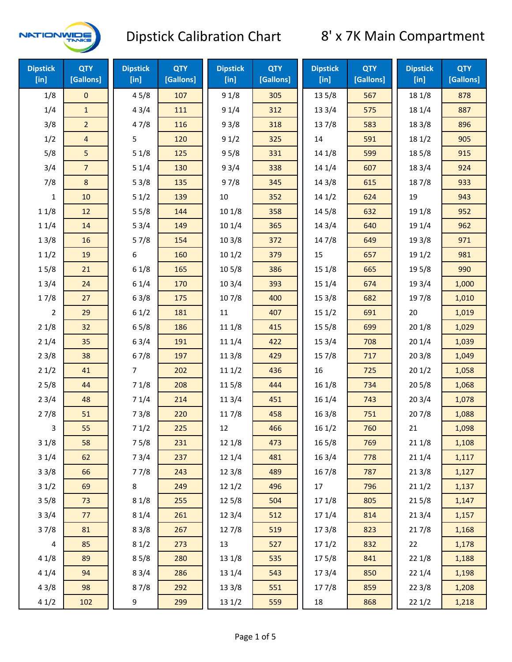

| <b>Dipstick</b><br>$[$ in] | <b>QTY</b><br>[Gallons] | <b>Dipstick</b><br>[in] | <b>QTY</b><br>[Gallons] | <b>Dipstick</b><br>[in] | <b>QTY</b><br>[Gallons] | <b>Dipstick</b><br>[in] | <b>QTY</b><br>[Gallons] | <b>Dipstick</b><br>[in] | <b>QTY</b><br>[Gallons] |
|----------------------------|-------------------------|-------------------------|-------------------------|-------------------------|-------------------------|-------------------------|-------------------------|-------------------------|-------------------------|
| 1/8                        | $\mathbf 0$             | 45/8                    | 107                     | 91/8                    | 305                     | 13 5/8                  | 567                     | 18 1/8                  | 878                     |
| 1/4                        | $\mathbf{1}$            | 43/4                    | 111                     | 91/4                    | 312                     | 13 3/4                  | 575                     | 18 1/4                  | 887                     |
| 3/8                        | $\overline{2}$          | 47/8                    | 116                     | 93/8                    | 318                     | 137/8                   | 583                     | 18 3/8                  | 896                     |
| 1/2                        | $\overline{4}$          | 5                       | 120                     | 91/2                    | 325                     | 14                      | 591                     | 181/2                   | 905                     |
| 5/8                        | 5                       | 51/8                    | 125                     | 95/8                    | 331                     | 14 1/8                  | 599                     | 185/8                   | 915                     |
| 3/4                        | $\overline{7}$          | 51/4                    | 130                     | 93/4                    | 338                     | 14 1/4                  | 607                     | 18 3/4                  | 924                     |
| 7/8                        | $\bf 8$                 | 53/8                    | 135                     | 97/8                    | 345                     | 14 3/8                  | 615                     | 187/8                   | 933                     |
| 1                          | 10                      | 51/2                    | 139                     | 10                      | 352                     | 141/2                   | 624                     | 19                      | 943                     |
| 11/8                       | 12                      | 55/8                    | 144                     | 101/8                   | 358                     | 145/8                   | 632                     | 19 1/8                  | 952                     |
| 11/4                       | 14                      | 53/4                    | 149                     | 101/4                   | 365                     | 14 3/4                  | 640                     | 19 1/4                  | 962                     |
| 13/8                       | 16                      | 57/8                    | 154                     | 103/8                   | 372                     | 147/8                   | 649                     | 19 3/8                  | 971                     |
| 11/2                       | 19                      | 6                       | 160                     | 101/2                   | 379                     | 15                      | 657                     | 19 1/2                  | 981                     |
| 15/8                       | 21                      | 61/8                    | 165                     | 10 <sub>5</sub> /8      | 386                     | 15 1/8                  | 665                     | 19 5/8                  | 990                     |
| 13/4                       | 24                      | 61/4                    | 170                     | 103/4                   | 393                     | 151/4                   | 674                     | 19 3/4                  | 1,000                   |
| 17/8                       | 27                      | 63/8                    | 175                     | 107/8                   | 400                     | 153/8                   | 682                     | 197/8                   | 1,010                   |
| $\overline{2}$             | 29                      | 61/2                    | 181                     | $11\,$                  | 407                     | 151/2                   | 691                     | 20                      | 1,019                   |
| 21/8                       | 32                      | 65/8                    | 186                     | 11 1/8                  | 415                     | 15 5/8                  | 699                     | 201/8                   | 1,029                   |
| 21/4                       | 35                      | 63/4                    | 191                     | 11 1/4                  | 422                     | 15 3/4                  | 708                     | 201/4                   | 1,039                   |
| 23/8                       | 38                      | 67/8                    | 197                     | 11 3/8                  | 429                     | 15 7/8                  | 717                     | 203/8                   | 1,049                   |
| 21/2                       | 41                      | $\overline{7}$          | 202                     | 111/2                   | 436                     | 16                      | 725                     | 201/2                   | 1,058                   |
| 25/8                       | 44                      | 71/8                    | 208                     | 115/8                   | 444                     | 161/8                   | 734                     | 205/8                   | 1,068                   |
| 23/4                       | 48                      | 71/4                    | 214                     | 11 3/4                  | 451                     | 16 1/4                  | 743                     | 203/4                   | 1,078                   |
| 27/8                       | 51                      | 73/8                    | 220                     | 117/8                   | 458                     | 16 3/8                  | 751                     | 207/8                   | 1,088                   |
| 3                          | 55                      | 71/2                    | 225                     | 12                      | 466                     | 161/2                   | 760                     | 21                      | 1,098                   |
| 31/8                       | 58                      | 75/8                    | 231                     | 12 1/8                  | 473                     | 16 5/8                  | 769                     | 211/8                   | 1,108                   |
| 31/4                       | 62                      | 73/4                    | 237                     | 12 1/4                  | 481                     | 16 3/4                  | 778                     | 211/4                   | 1,117                   |
| 33/8                       | 66                      | 77/8                    | 243                     | 12 3/8                  | 489                     | 16 7/8                  | 787                     | 213/8                   | 1,127                   |
| 31/2                       | 69                      | $\bf 8$                 | 249                     | 121/2                   | 496                     | 17                      | 796                     | 211/2                   | 1,137                   |
| 35/8                       | 73                      | 81/8                    | 255                     | 125/8                   | 504                     | 17 1/8                  | 805                     | 215/8                   | 1,147                   |
| 33/4                       | 77                      | 81/4                    | 261                     | 123/4                   | 512                     | 17 1/4                  | 814                     | 213/4                   | 1,157                   |
| 37/8                       | 81                      | 83/8                    | 267                     | 127/8                   | 519                     | 173/8                   | 823                     | 217/8                   | 1,168                   |
| 4                          | 85                      | 81/2                    | 273                     | 13                      | 527                     | 171/2                   | 832                     | 22                      | 1,178                   |
| 41/8                       | 89                      | 85/8                    | 280                     | 13 1/8                  | 535                     | 175/8                   | 841                     | 221/8                   | 1,188                   |
| 41/4                       | 94                      | 83/4                    | 286                     | 13 1/4                  | 543                     | 17 3/4                  | 850                     | 221/4                   | 1,198                   |
| 43/8                       | 98                      | 87/8                    | 292                     | 13 3/8                  | 551                     | 177/8                   | 859                     | 223/8                   | 1,208                   |
| 41/2                       | 102                     | 9                       | 299                     | 13 1/2                  | 559                     | 18                      | 868                     | 221/2                   | 1,218                   |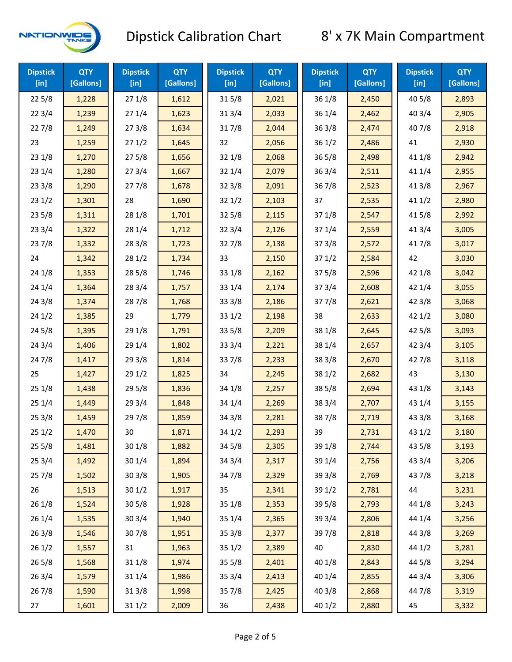

| <b>Dipstick</b><br>[in] | <b>QTY</b><br>[Gallons] | <b>Dipstick</b><br>$[$ in] | <b>QTY</b><br>[Gallons] | <b>Dipstick</b><br>$[$ in] | <b>QTY</b><br>[Gallons] | <b>Dipstick</b><br>$[$ in] | <b>QTY</b><br>[Gallons] | <b>Dipstick</b><br>$[$ in] | <b>QTY</b><br>[Gallons] |
|-------------------------|-------------------------|----------------------------|-------------------------|----------------------------|-------------------------|----------------------------|-------------------------|----------------------------|-------------------------|
| 225/8                   | 1,228                   | 271/8                      | 1,612                   | 315/8                      | 2,021                   | 36 1/8                     | 2,450                   | 40 5/8                     | 2,893                   |
| 223/4                   | 1,239                   | 271/4                      | 1,623                   | 31 3/4                     | 2,033                   | 36 1/4                     | 2,462                   | 40 3/4                     | 2,905                   |
| 227/8                   | 1,249                   | 273/8                      | 1,634                   | 317/8                      | 2,044                   | 363/8                      | 2,474                   | 407/8                      | 2,918                   |
| 23                      | 1,259                   | 271/2                      | 1,645                   | 32                         | 2,056                   | 361/2                      | 2,486                   | 41                         | 2,930                   |
| 231/8                   | 1,270                   | 275/8                      | 1,656                   | 32 1/8                     | 2,068                   | $36\,5/8$                  | 2,498                   | 41 1/8                     | 2,942                   |
| 231/4                   | 1,280                   | 273/4                      | 1,667                   | 32 1/4                     | 2,079                   | 363/4                      | 2,511                   | 41 1/4                     | 2,955                   |
| 233/8                   | 1,290                   | 277/8                      | 1,678                   | 323/8                      | 2,091                   | 36 7/8                     | 2,523                   | 41 3/8                     | 2,967                   |
| 231/2                   | 1,301                   | 28                         | 1,690                   | 321/2                      | 2,103                   | 37                         | 2,535                   | 411/2                      | 2,980                   |
| 235/8                   | 1,311                   | 28 1/8                     | 1,701                   | 325/8                      | 2,115                   | 37 1/8                     | 2,547                   | 41 5/8                     | 2,992                   |
| 233/4                   | 1,322                   | 28 1/4                     | 1,712                   | 32 3/4                     | 2,126                   | 37 1/4                     | 2,559                   | 41 3/4                     | 3,005                   |
| 237/8                   | 1,332                   | 28 3/8                     | 1,723                   | 327/8                      | 2,138                   | 373/8                      | 2,572                   | 417/8                      | 3,017                   |
| 24                      | 1,342                   | 281/2                      | 1,734                   | 33                         | 2,150                   | 371/2                      | 2,584                   | 42                         | 3,030                   |
| 24 1/8                  | 1,353                   | 28 5/8                     | 1,746                   | 33 1/8                     | 2,162                   | 375/8                      | 2,596                   | 42 1/8                     | 3,042                   |
| 241/4                   | 1,364                   | 28 3/4                     | 1,757                   | 33 1/4                     | 2,174                   | 373/4                      | 2,608                   | 42 1/4                     | 3,055                   |
| 243/8                   | 1,374                   | 287/8                      | 1,768                   | 333/8                      | 2,186                   | 377/8                      | 2,621                   | 42 3/8                     | 3,068                   |
| 241/2                   | 1,385                   | 29                         | 1,779                   | 331/2                      | 2,198                   | 38                         | 2,633                   | 421/2                      | 3,080                   |
| 245/8                   | 1,395                   | 29 1/8                     | 1,791                   | 33 5/8                     | 2,209                   | 38 1/8                     | 2,645                   | 42 5/8                     | 3,093                   |
| 243/4                   | 1,406                   | 29 1/4                     | 1,802                   | 33 3/4                     | 2,221                   | 38 1/4                     | 2,657                   | 42 3/4                     | 3,105                   |
| 24 7/8                  | 1,417                   | 29 3/8                     | 1,814                   | 337/8                      | 2,233                   | 38 3/8                     | 2,670                   | 42 7/8                     | 3,118                   |
| 25                      | 1,427                   | 29 1/2                     | 1,825                   | 34                         | 2,245                   | 38 1/2                     | 2,682                   | 43                         | 3,130                   |
| 251/8                   | 1,438                   | 29 5/8                     | 1,836                   | 34 1/8                     | 2,257                   | 38 5/8                     | 2,694                   | 43 1/8                     | 3,143                   |
| 251/4                   | 1,449                   | 29 3/4                     | 1,848                   | 34 1/4                     | 2,269                   | 38 3/4                     | 2,707                   | 43 1/4                     | 3,155                   |
| 253/8                   | 1,459                   | 297/8                      | 1,859                   | 34 3/8                     | 2,281                   | 387/8                      | 2,719                   | 43 3/8                     | 3,168                   |
| 251/2                   | 1,470                   | 30                         | 1,871                   | 34 1/2                     | 2,293                   | 39                         | 2,731                   | 43 1/2                     | 3,180                   |
| 255/8                   | 1,481                   | 301/8                      | 1,882                   | 34 5/8                     | 2,305                   | 39 1/8                     | 2,744                   | 43 5/8                     | 3,193                   |
| 253/4                   | 1,492                   | 30 1/4                     | 1,894                   | 34 3/4                     | 2,317                   | 39 1/4                     | 2,756                   | 43 3/4                     | 3,206                   |
| 257/8                   | 1,502                   | 303/8                      | 1,905                   | 347/8                      | 2,329                   | 39 3/8                     | 2,769                   | 437/8                      | 3,218                   |
| 26                      | 1,513                   | 301/2                      | 1,917                   | 35                         | 2,341                   | 39 1/2                     | 2,781                   | 44                         | 3,231                   |
| 261/8                   | 1,524                   | 305/8                      | 1,928                   | 35 1/8                     | 2,353                   | 39 5/8                     | 2,793                   | 44 1/8                     | 3,243                   |
| 261/4                   | 1,535                   | 30 3/4                     | 1,940                   | 35 1/4                     | 2,365                   | 39 3/4                     | 2,806                   | 44 1/4                     | 3,256                   |
| 263/8                   | 1,546                   | 307/8                      | 1,951                   | 35 3/8                     | 2,377                   | 397/8                      | 2,818                   | 44 3/8                     | 3,269                   |
| 261/2                   | 1,557                   | 31                         | 1,963                   | 351/2                      | 2,389                   | 40                         | 2,830                   | 44 1/2                     | 3,281                   |
| 265/8                   | 1,568                   | 31 1/8                     | 1,974                   | 35 5/8                     | 2,401                   | 40 1/8                     | 2,843                   | 44 5/8                     | 3,294                   |
| 263/4                   | 1,579                   | 31 1/4                     | 1,986                   | 35 3/4                     | 2,413                   | 40 1/4                     | 2,855                   | 44 3/4                     | 3,306                   |
| 267/8                   | 1,590                   | 31 3/8                     | 1,998                   | 357/8                      | 2,425                   | 40 3/8                     | 2,868                   | 447/8                      | 3,319                   |
| 27                      | 1,601                   | 31 1/2                     | 2,009                   | 36                         | 2,438                   | 40 1/2                     | 2,880                   | 45                         | 3,332                   |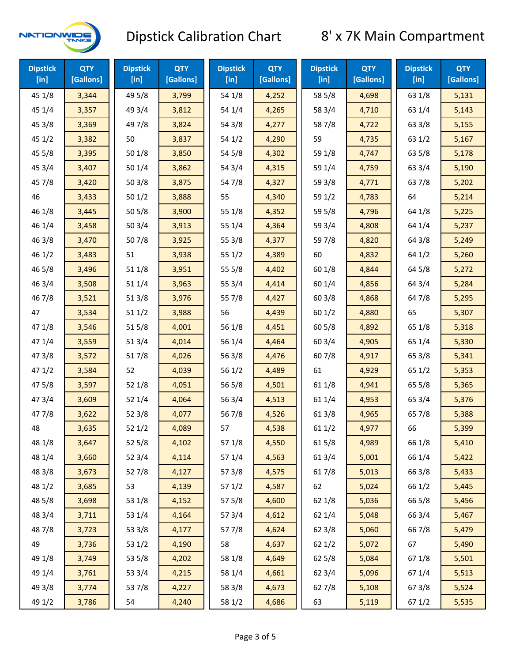

| <b>Dipstick</b><br>$[$ in] | <b>QTY</b><br>[Gallons] | <b>Dipstick</b><br>$[$ in] | <b>QTY</b><br>[Gallons] | <b>Dipstick</b><br>$[$ in] | <b>QTY</b><br>[Gallons] | <b>Dipstick</b><br>$[$ in] | <b>QTY</b><br>[Gallons] | <b>Dipstick</b><br>$[$ in] | <b>QTY</b><br>[Gallons] |
|----------------------------|-------------------------|----------------------------|-------------------------|----------------------------|-------------------------|----------------------------|-------------------------|----------------------------|-------------------------|
| 45 1/8                     | 3,344                   | 49 5/8                     | 3,799                   | 54 1/8                     | 4,252                   | 58 5/8                     | 4,698                   | 63 1/8                     | 5,131                   |
| 45 1/4                     | 3,357                   | 49 3/4                     | 3,812                   | 54 1/4                     | 4,265                   | 58 3/4                     | 4,710                   | 63 1/4                     | 5,143                   |
| 45 3/8                     | 3,369                   | 49 7/8                     | 3,824                   | 54 3/8                     | 4,277                   | 587/8                      | 4,722                   | 63 3/8                     | 5,155                   |
| 451/2                      | 3,382                   | 50                         | 3,837                   | 54 1/2                     | 4,290                   | 59                         | 4,735                   | 63 1/2                     | 5,167                   |
| 455/8                      | 3,395                   | 50 1/8                     | 3,850                   | 54 5/8                     | 4,302                   | 59 1/8                     | 4,747                   | 63 5/8                     | 5,178                   |
| 45 3/4                     | 3,407                   | 501/4                      | 3,862                   | 54 3/4                     | 4,315                   | 59 1/4                     | 4,759                   | 63 3/4                     | 5,190                   |
| 45 7/8                     | 3,420                   | 503/8                      | 3,875                   | 54 7/8                     | 4,327                   | 59 3/8                     | 4,771                   | 637/8                      | 5,202                   |
| 46                         | 3,433                   | 501/2                      | 3,888                   | 55                         | 4,340                   | 59 1/2                     | 4,783                   | 64                         | 5,214                   |
| 46 1/8                     | 3,445                   | 505/8                      | 3,900                   | 55 1/8                     | 4,352                   | 59 5/8                     | 4,796                   | 64 1/8                     | 5,225                   |
| 46 1/4                     | 3,458                   | 503/4                      | 3,913                   | 55 1/4                     | 4,364                   | 59 3/4                     | 4,808                   | 64 1/4                     | 5,237                   |
| 46 3/8                     | 3,470                   | 507/8                      | 3,925                   | 55 3/8                     | 4,377                   | 59 7/8                     | 4,820                   | 64 3/8                     | 5,249                   |
| 46 1/2                     | 3,483                   | 51                         | 3,938                   | 551/2                      | 4,389                   | 60                         | 4,832                   | 64 1/2                     | 5,260                   |
| 46 5/8                     | 3,496                   | 51 1/8                     | 3,951                   | 55 5/8                     | 4,402                   | 60 1/8                     | 4,844                   | 64 5/8                     | 5,272                   |
| 46 3/4                     | 3,508                   | 51 1/4                     | 3,963                   | 55 3/4                     | 4,414                   | 60 1/4                     | 4,856                   | 64 3/4                     | 5,284                   |
| 46 7/8                     | 3,521                   | 51 3/8                     | 3,976                   | 55 7/8                     | 4,427                   | 60 3/8                     | 4,868                   | 64 7/8                     | 5,295                   |
| 47                         | 3,534                   | 511/2                      | 3,988                   | 56                         | 4,439                   | 601/2                      | 4,880                   | 65                         | 5,307                   |
| 47 1/8                     | 3,546                   | 515/8                      | 4,001                   | 56 1/8                     | 4,451                   | 60 5/8                     | 4,892                   | 65 1/8                     | 5,318                   |
| 47 1/4                     | 3,559                   | 513/4                      | 4,014                   | 56 1/4                     | 4,464                   | 603/4                      | 4,905                   | 65 1/4                     | 5,330                   |
| 47 3/8                     | 3,572                   | 517/8                      | 4,026                   | 56 3/8                     | 4,476                   | 60 7/8                     | 4,917                   | 65 3/8                     | 5,341                   |
| 47 1/2                     | 3,584                   | 52                         | 4,039                   | 56 1/2                     | 4,489                   | 61                         | 4,929                   | 65 1/2                     | 5,353                   |
| 47 5/8                     | 3,597                   | 52 1/8                     | 4,051                   | 56 5/8                     | 4,501                   | 61 1/8                     | 4,941                   | 65 5/8                     | 5,365                   |
| 47 3/4                     | 3,609                   | 521/4                      | 4,064                   | 56 3/4                     | 4,513                   | 61 1/4                     | 4,953                   | 65 3/4                     | 5,376                   |
| 47 7/8                     | 3,622                   | 52 3/8                     | 4,077                   | 56 7/8                     | 4,526                   | 61 3/8                     | 4,965                   | 65 7/8                     | 5,388                   |
| 48                         | 3,635                   | 521/2                      | 4,089                   | 57                         | 4,538                   | 611/2                      | 4,977                   | 66                         | 5,399                   |
| 48 1/8                     | 3,647                   | 525/8                      | 4,102                   | 57 1/8                     | 4,550                   | 615/8                      | 4,989                   | 66 1/8                     | 5,410                   |
| 48 1/4                     | 3,660                   | 52 3/4                     | 4,114                   | 57 1/4                     | 4,563                   | 61 3/4                     | 5,001                   | 66 1/4                     | 5,422                   |
| 48 3/8                     | 3,673                   | 527/8                      | 4,127                   | 573/8                      | 4,575                   | 617/8                      | 5,013                   | 66 3/8                     | 5,433                   |
| 48 1/2                     | 3,685                   | 53                         | 4,139                   | 57 1/2                     | 4,587                   | 62                         | 5,024                   | 66 1/2                     | 5,445                   |
| 48 5/8                     | 3,698                   | 53 1/8                     | 4,152                   | 57 5/8                     | 4,600                   | 62 1/8                     | 5,036                   | 66 5/8                     | 5,456                   |
| 48 3/4                     | 3,711                   | 53 1/4                     | 4,164                   | 57 3/4                     | 4,612                   | 62 1/4                     | 5,048                   | 66 3/4                     | 5,467                   |
| 487/8                      | 3,723                   | 53 3/8                     | 4,177                   | 577/8                      | 4,624                   | 62 3/8                     | 5,060                   | 66 7/8                     | 5,479                   |
| 49                         | 3,736                   | 53 1/2                     | 4,190                   | 58                         | 4,637                   | 621/2                      | 5,072                   | 67                         | 5,490                   |
| 49 1/8                     | 3,749                   | 53 5/8                     | 4,202                   | 58 1/8                     | 4,649                   | 62 5/8                     | 5,084                   | 671/8                      | 5,501                   |
| 49 1/4                     | 3,761                   | 53 3/4                     | 4,215                   | 58 1/4                     | 4,661                   | 62 3/4                     | 5,096                   | 67 1/4                     | 5,513                   |
| 49 3/8                     | 3,774                   | 537/8                      | 4,227                   | 58 3/8                     | 4,673                   | 627/8                      | 5,108                   | 67 3/8                     | 5,524                   |
| 49 1/2                     | 3,786                   | 54                         | 4,240                   | 58 1/2                     | 4,686                   | 63                         | 5,119                   | 67 1/2                     | 5,535                   |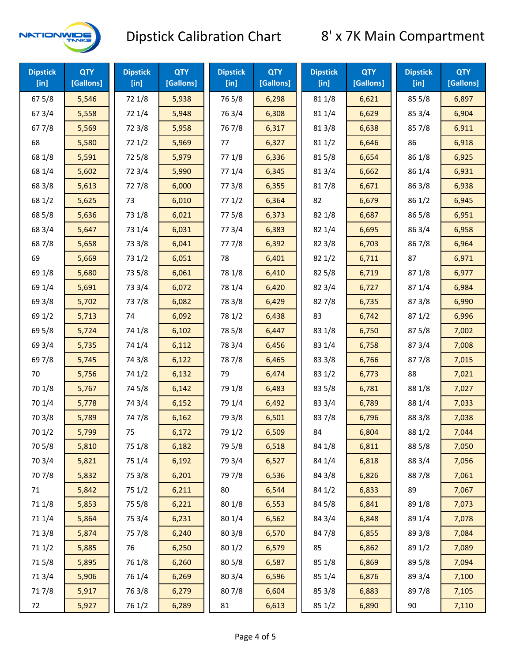

| <b>Dipstick</b><br>[in] | <b>QTY</b><br>[Gallons] | <b>Dipstick</b><br>$[$ in] | <b>QTY</b><br>[Gallons] | <b>Dipstick</b><br>$[$ in] | <b>QTY</b><br>[Gallons] | <b>Dipstick</b><br>$[$ in] | <b>QTY</b><br>[Gallons] | <b>Dipstick</b><br>$[$ in] | <b>QTY</b><br>[Gallons] |
|-------------------------|-------------------------|----------------------------|-------------------------|----------------------------|-------------------------|----------------------------|-------------------------|----------------------------|-------------------------|
| 675/8                   | 5,546                   | 72 1/8                     | 5,938                   | 765/8                      | 6,298                   | 81 1/8                     | 6,621                   | 855/8                      | 6,897                   |
| 67 3/4                  | 5,558                   | 72 1/4                     | 5,948                   | 763/4                      | 6,308                   | 81 1/4                     | 6,629                   | 85 3/4                     | 6,904                   |
| 67 7/8                  | 5,569                   | 72 3/8                     | 5,958                   | 767/8                      | 6,317                   | 81 3/8                     | 6,638                   | 85 7/8                     | 6,911                   |
| 68                      | 5,580                   | 721/2                      | 5,969                   | 77                         | 6,327                   | 811/2                      | 6,646                   | 86                         | 6,918                   |
| 68 1/8                  | 5,591                   | 725/8                      | 5,979                   | 77 1/8                     | 6,336                   | 815/8                      | 6,654                   | 86 1/8                     | 6,925                   |
| 68 1/4                  | 5,602                   | 72 3/4                     | 5,990                   | 77 1/4                     | 6,345                   | 813/4                      | 6,662                   | 86 1/4                     | 6,931                   |
| 68 3/8                  | 5,613                   | 727/8                      | 6,000                   | 77 3/8                     | 6,355                   | 817/8                      | 6,671                   | 86 3/8                     | 6,938                   |
| 68 1/2                  | 5,625                   | 73                         | 6,010                   | 771/2                      | 6,364                   | 82                         | 6,679                   | 86 1/2                     | 6,945                   |
| 68 5/8                  | 5,636                   | 73 1/8                     | 6,021                   | 775/8                      | 6,373                   | 82 1/8                     | 6,687                   | 865/8                      | 6,951                   |
| 68 3/4                  | 5,647                   | 73 1/4                     | 6,031                   | 773/4                      | 6,383                   | 82 1/4                     | 6,695                   | 86 3/4                     | 6,958                   |
| 687/8                   | 5,658                   | 73 3/8                     | 6,041                   | 777/8                      | 6,392                   | 82 3/8                     | 6,703                   | 867/8                      | 6,964                   |
| 69                      | 5,669                   | 73 1/2                     | 6,051                   | 78                         | 6,401                   | 821/2                      | 6,711                   | 87                         | 6,971                   |
| 69 1/8                  | 5,680                   | 73 5/8                     | 6,061                   | 78 1/8                     | 6,410                   | 82 5/8                     | 6,719                   | 871/8                      | 6,977                   |
| 69 1/4                  | 5,691                   | 73 3/4                     | 6,072                   | 78 1/4                     | 6,420                   | 82 3/4                     | 6,727                   | 87 1/4                     | 6,984                   |
| 69 3/8                  | 5,702                   | 737/8                      | 6,082                   | 78 3/8                     | 6,429                   | 827/8                      | 6,735                   | 873/8                      | 6,990                   |
| 69 1/2                  | 5,713                   | 74                         | 6,092                   | 78 1/2                     | 6,438                   | 83                         | 6,742                   | 871/2                      | 6,996                   |
| 69 5/8                  | 5,724                   | 74 1/8                     | 6,102                   | 78 5/8                     | 6,447                   | 83 1/8                     | 6,750                   | 87 5/8                     | 7,002                   |
| 69 3/4                  | 5,735                   | 74 1/4                     | 6,112                   | 78 3/4                     | 6,456                   | 83 1/4                     | 6,758                   | 87 3/4                     | 7,008                   |
| 69 7/8                  | 5,745                   | 74 3/8                     | 6,122                   | 787/8                      | 6,465                   | 83 3/8                     | 6,766                   | 877/8                      | 7,015                   |
| 70                      | 5,756                   | 74 1/2                     | 6,132                   | 79                         | 6,474                   | 83 1/2                     | 6,773                   | 88                         | 7,021                   |
| 70 1/8                  | 5,767                   | 74 5/8                     | 6,142                   | 79 1/8                     | 6,483                   | 83 5/8                     | 6,781                   | 88 1/8                     | 7,027                   |
| 70 1/4                  | 5,778                   | 74 3/4                     | 6,152                   | 79 1/4                     | 6,492                   | 83 3/4                     | 6,789                   | 88 1/4                     | 7,033                   |
| 70 3/8                  | 5,789                   | 747/8                      | 6,162                   | 79 3/8                     | 6,501                   | 837/8                      | 6,796                   | 88 3/8                     | 7,038                   |
| 70 1/2                  | 5,799                   | 75                         | 6,172                   | 79 1/2                     | 6,509                   | 84                         | 6,804                   | 88 1/2                     | 7,044                   |
| 70 5/8                  | 5,810                   | 75 1/8                     | 6,182                   | 79 5/8                     | 6,518                   | 84 1/8                     | 6,811                   | 88 5/8                     | 7,050                   |
| 70 3/4                  | 5,821                   | 75 1/4                     | 6,192                   | 79 3/4                     | 6,527                   | 84 1/4                     | 6,818                   | 88 3/4                     | 7,056                   |
| 70 7/8                  | 5,832                   | 75 3/8                     | 6,201                   | 79 7/8                     | 6,536                   | 84 3/8                     | 6,826                   | 887/8                      | 7,061                   |
| 71                      | 5,842                   | 75 1/2                     | 6,211                   | 80                         | 6,544                   | 84 1/2                     | 6,833                   | 89                         | 7,067                   |
| 71 1/8                  | 5,853                   | 75 5/8                     | 6,221                   | 80 1/8                     | 6,553                   | 84 5/8                     | 6,841                   | 89 1/8                     | 7,073                   |
| 711/4                   | 5,864                   | 75 3/4                     | 6,231                   | 80 1/4                     | 6,562                   | 84 3/4                     | 6,848                   | 89 1/4                     | 7,078                   |
| 713/8                   | 5,874                   | 75 7/8                     | 6,240                   | 80 3/8                     | 6,570                   | 847/8                      | 6,855                   | 89 3/8                     | 7,084                   |
| 71 1/2                  | 5,885                   | 76                         | 6,250                   | 80 1/2                     | 6,579                   | 85                         | 6,862                   | 89 1/2                     | 7,089                   |
| 715/8                   | 5,895                   | 76 1/8                     | 6,260                   | 80 5/8                     | 6,587                   | 85 1/8                     | 6,869                   | 89 5/8                     | 7,094                   |
| 713/4                   | 5,906                   | 76 1/4                     | 6,269                   | 80 3/4                     | 6,596                   | 85 1/4                     | 6,876                   | 89 3/4                     | 7,100                   |
| 717/8                   | 5,917                   | 763/8                      | 6,279                   | 807/8                      | 6,604                   | 85 3/8                     | 6,883                   | 897/8                      | 7,105                   |
| 72                      | 5,927                   | 76 1/2                     | 6,289                   | 81                         | 6,613                   | 85 1/2                     | 6,890                   | 90                         | 7,110                   |